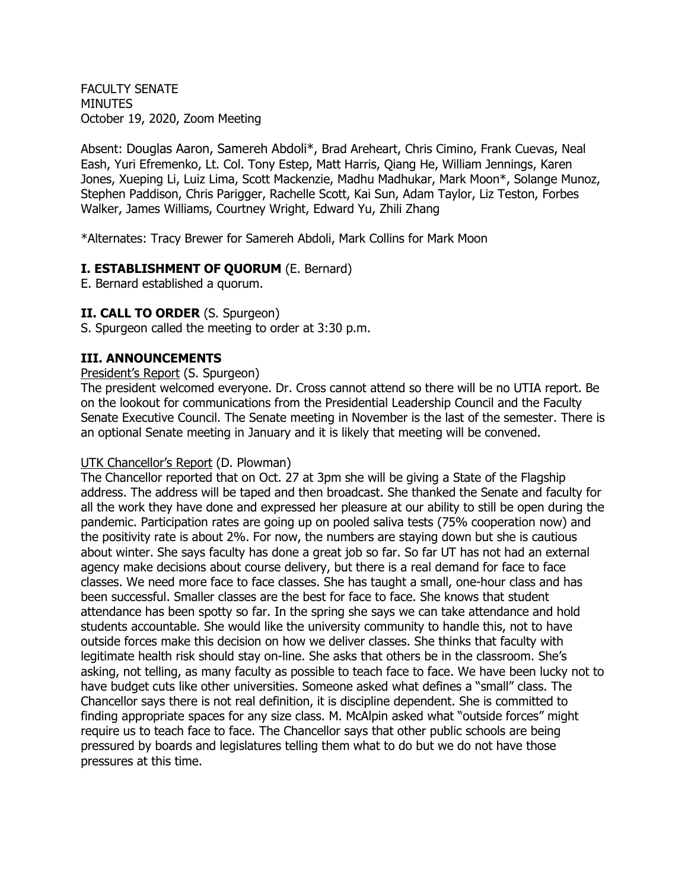FACULTY SENATE MINUTES October 19, 2020, Zoom Meeting

Absent: Douglas Aaron, Samereh Abdoli\*, Brad Areheart, Chris Cimino, Frank Cuevas, Neal Eash, Yuri Efremenko, Lt. Col. Tony Estep, Matt Harris, Qiang He, William Jennings, Karen Jones, Xueping Li, Luiz Lima, Scott Mackenzie, Madhu Madhukar, Mark Moon\*, Solange Munoz, Stephen Paddison, Chris Parigger, Rachelle Scott, Kai Sun, Adam Taylor, Liz Teston, Forbes Walker, James Williams, Courtney Wright, Edward Yu, Zhili Zhang

\*Alternates: Tracy Brewer for Samereh Abdoli, Mark Collins for Mark Moon

### **I. ESTABLISHMENT OF QUORUM** (E. Bernard)

E. Bernard established a quorum.

### **II. CALL TO ORDER** (S. Spurgeon)

S. Spurgeon called the meeting to order at 3:30 p.m.

#### **III. ANNOUNCEMENTS**

#### President's Report (S. Spurgeon)

The president welcomed everyone. Dr. Cross cannot attend so there will be no UTIA report. Be on the lookout for communications from the Presidential Leadership Council and the Faculty Senate Executive Council. The Senate meeting in November is the last of the semester. There is an optional Senate meeting in January and it is likely that meeting will be convened.

#### UTK Chancellor's Report (D. Plowman)

The Chancellor reported that on Oct. 27 at 3pm she will be giving a State of the Flagship address. The address will be taped and then broadcast. She thanked the Senate and faculty for all the work they have done and expressed her pleasure at our ability to still be open during the pandemic. Participation rates are going up on pooled saliva tests (75% cooperation now) and the positivity rate is about 2%. For now, the numbers are staying down but she is cautious about winter. She says faculty has done a great job so far. So far UT has not had an external agency make decisions about course delivery, but there is a real demand for face to face classes. We need more face to face classes. She has taught a small, one-hour class and has been successful. Smaller classes are the best for face to face. She knows that student attendance has been spotty so far. In the spring she says we can take attendance and hold students accountable. She would like the university community to handle this, not to have outside forces make this decision on how we deliver classes. She thinks that faculty with legitimate health risk should stay on-line. She asks that others be in the classroom. She's asking, not telling, as many faculty as possible to teach face to face. We have been lucky not to have budget cuts like other universities. Someone asked what defines a "small" class. The Chancellor says there is not real definition, it is discipline dependent. She is committed to finding appropriate spaces for any size class. M. McAlpin asked what "outside forces" might require us to teach face to face. The Chancellor says that other public schools are being pressured by boards and legislatures telling them what to do but we do not have those pressures at this time.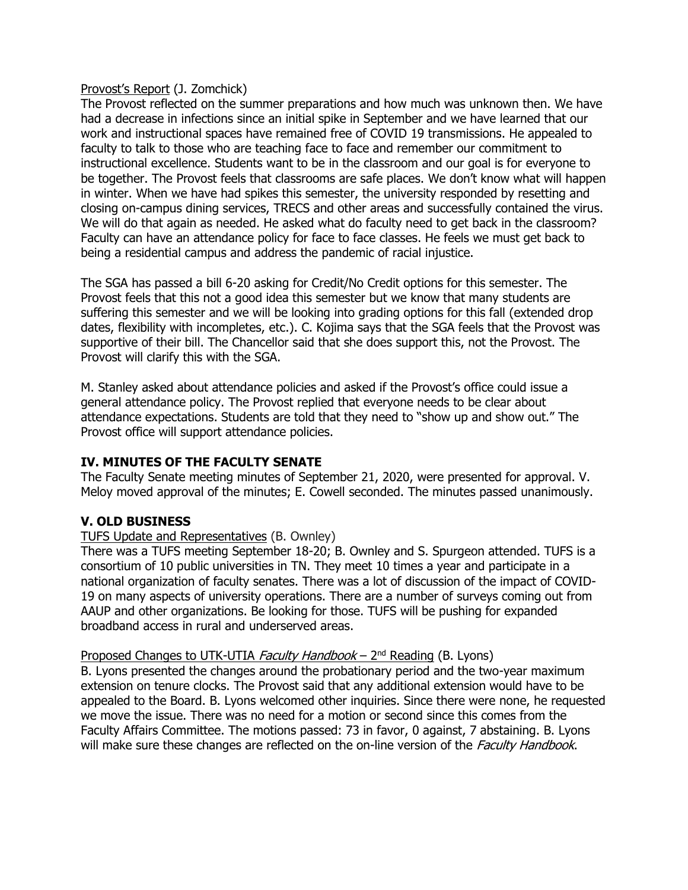#### Provost's Report (J. Zomchick)

The Provost reflected on the summer preparations and how much was unknown then. We have had a decrease in infections since an initial spike in September and we have learned that our work and instructional spaces have remained free of COVID 19 transmissions. He appealed to faculty to talk to those who are teaching face to face and remember our commitment to instructional excellence. Students want to be in the classroom and our goal is for everyone to be together. The Provost feels that classrooms are safe places. We don't know what will happen in winter. When we have had spikes this semester, the university responded by resetting and closing on-campus dining services, TRECS and other areas and successfully contained the virus. We will do that again as needed. He asked what do faculty need to get back in the classroom? Faculty can have an attendance policy for face to face classes. He feels we must get back to being a residential campus and address the pandemic of racial injustice.

The SGA has passed a bill 6-20 asking for Credit/No Credit options for this semester. The Provost feels that this not a good idea this semester but we know that many students are suffering this semester and we will be looking into grading options for this fall (extended drop dates, flexibility with incompletes, etc.). C. Kojima says that the SGA feels that the Provost was supportive of their bill. The Chancellor said that she does support this, not the Provost. The Provost will clarify this with the SGA.

M. Stanley asked about attendance policies and asked if the Provost's office could issue a general attendance policy. The Provost replied that everyone needs to be clear about attendance expectations. Students are told that they need to "show up and show out." The Provost office will support attendance policies.

### **IV. MINUTES OF THE FACULTY SENATE**

The Faculty Senate meeting minutes of September 21, 2020, were presented for approval. V. Meloy moved approval of the minutes; E. Cowell seconded. The minutes passed unanimously.

# **V. OLD BUSINESS**

### TUFS Update and Representatives (B. Ownley)

There was a TUFS meeting September 18-20; B. Ownley and S. Spurgeon attended. TUFS is a consortium of 10 public universities in TN. They meet 10 times a year and participate in a national organization of faculty senates. There was a lot of discussion of the impact of COVID-19 on many aspects of university operations. There are a number of surveys coming out from AAUP and other organizations. Be looking for those. TUFS will be pushing for expanded broadband access in rural and underserved areas.

### Proposed Changes to UTK-UTIA *Faculty Handbook* – 2<sup>nd</sup> Reading (B. Lyons)

B. Lyons presented the changes around the probationary period and the two-year maximum extension on tenure clocks. The Provost said that any additional extension would have to be appealed to the Board. B. Lyons welcomed other inquiries. Since there were none, he requested we move the issue. There was no need for a motion or second since this comes from the Faculty Affairs Committee. The motions passed: 73 in favor, 0 against, 7 abstaining. B. Lyons will make sure these changes are reflected on the on-line version of the *Faculty Handbook*.